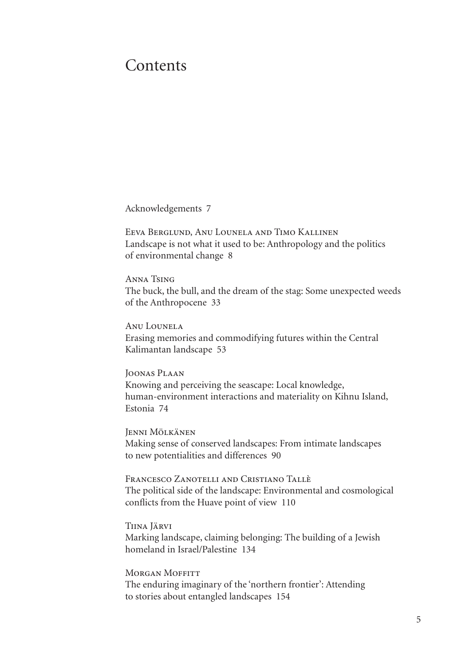## **Contents**

Acknowledgements 7

Eeva Berglund, Anu Lounela and Timo Kallinen Landscape is not what it used to be: Anthropology and the politics of environmental change 8

Anna Tsing The buck, the bull, and the dream of the stag: Some unexpected weeds of the Anthropocene 33

Anu Lounela Erasing memories and commodifying futures within the Central Kalimantan landscape 53

Joonas Plaan Knowing and perceiving the seascape: local knowledge, human-environment interactions and materiality on kihnu island, Estonia 74

Jenni Mölkänen Making sense of conserved landscapes: from intimate landscapes to new potentialities and differences 90

Francesco Zanotelli and Cristiano Tallè The political side of the landscape: Environmental and cosmological conflicts from the Huave point of view 110

Tiina Järvi Marking landscape, claiming belonging: The building of a Jewish homeland in Israel/Palestine 134

**MORGAN MOFFITT** The enduring imaginary of the 'northern frontier': attending to stories about entangled landscapes 154